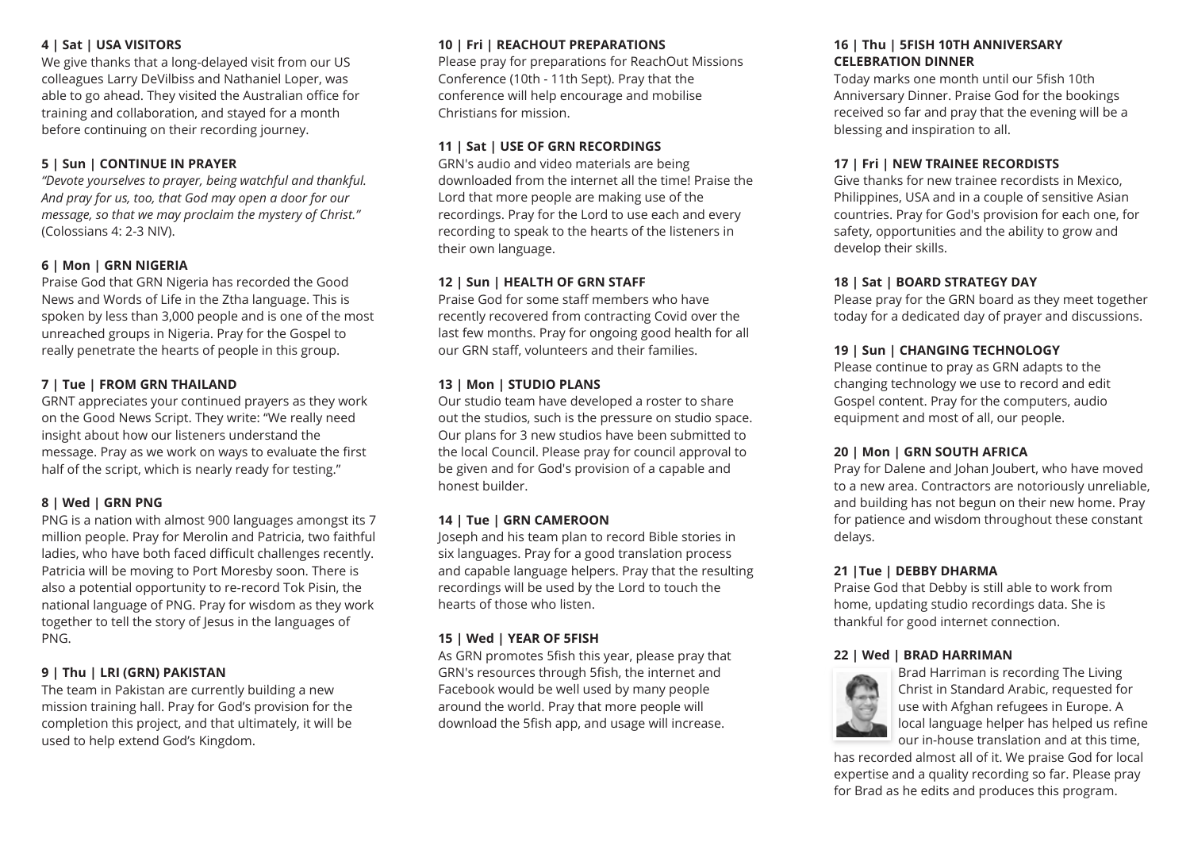### **4 | Sat | USA VISITORS**

We give thanks that a long-delayed visit from our US colleagues Larry DeVilbiss and Nathaniel Loper, was able to go ahead. They visited the Australian office for training and collaboration, and stayed for a month before continuing on their recording journey.

### **5 | Sun | CONTINUE IN PRAYER**

*"Devote yourselves to prayer, being watchful and thankful. And pray for us, too, that God may open a door for our message, so that we may proclaim the mystery of Christ."* (Colossians 4: 2-3 NIV).

#### **6 | Mon | GRN NIGERIA**

Praise God that GRN Nigeria has recorded the Good News and Words of Life in the Ztha language. This is spoken by less than 3,000 people and is one of the most unreached groups in Nigeria. Pray for the Gospel to really penetrate the hearts of people in this group.

### **7 | Tue | FROM GRN THAILAND**

GRNT appreciates your continued prayers as they work on the Good News Script. They write: "We really need insight about how our listeners understand the message. Pray as we work on ways to evaluate the first half of the script, which is nearly ready for testing."

#### **8 | Wed | GRN PNG**

PNG is a nation with almost 900 languages amongst its 7 million people. Pray for Merolin and Patricia, two faithful ladies, who have both faced difficult challenges recently. Patricia will be moving to Port Moresby soon. There is also a potential opportunity to re-record Tok Pisin, the national language of PNG. Pray for wisdom as they work together to tell the story of Jesus in the languages of PNG.

#### **9 | Thu | LRI (GRN) PAKISTAN**

The team in Pakistan are currently building a new mission training hall. Pray for God's provision for the completion this project, and that ultimately, it will be used to help extend God's Kingdom.

### **10 | Fri | REACHOUT PREPARATIONS**

Please pray for preparations for ReachOut Missions Conference (10th - 11th Sept). Pray that the conference will help encourage and mobilise Christians for mission.

#### **11 | Sat | USE OF GRN RECORDINGS**

GRN's audio and video materials are being downloaded from the internet all the time! Praise the Lord that more people are making use of the recordings. Pray for the Lord to use each and every recording to speak to the hearts of the listeners in their own language.

#### **12 | Sun | HEALTH OF GRN STAFF**

Praise God for some staff members who have recently recovered from contracting Covid over the last few months. Pray for ongoing good health for all our GRN staff, volunteers and their families.

#### **13 | Mon | STUDIO PLANS**

Our studio team have developed a roster to share out the studios, such is the pressure on studio space. Our plans for 3 new studios have been submitted to the local Council. Please pray for council approval to be given and for God's provision of a capable and honest builder.

#### **14 | Tue | GRN CAMEROON**

Joseph and his team plan to record Bible stories in six languages. Pray for a good translation process and capable language helpers. Pray that the resulting recordings will be used by the Lord to touch the hearts of those who listen.

#### **15 | Wed | YEAR OF 5FISH**

As GRN promotes 5fish this year, please pray that GRN's resources through 5fish, the internet and Facebook would be well used by many people around the world. Pray that more people will download the 5fish app, and usage will increase.

#### **16 | Thu | 5FISH 10TH ANNIVERSARY CELEBRATION DINNER**

Today marks one month until our 5fish 10th Anniversary Dinner. Praise God for the bookings received so far and pray that the evening will be a blessing and inspiration to all.

### **17 | Fri | NEW TRAINEE RECORDISTS**

Give thanks for new trainee recordists in Mexico, Philippines, USA and in a couple of sensitive Asian countries. Pray for God's provision for each one, for safety, opportunities and the ability to grow and develop their skills.

#### **18 | Sat | BOARD STRATEGY DAY**

Please pray for the GRN board as they meet together today for a dedicated day of prayer and discussions.

#### **19 | Sun | CHANGING TECHNOLOGY**

Please continue to pray as GRN adapts to the changing technology we use to record and edit Gospel content. Pray for the computers, audio equipment and most of all, our people.

#### **20 | Mon | GRN SOUTH AFRICA**

Pray for Dalene and Johan Joubert, who have moved to a new area. Contractors are notoriously unreliable, and building has not begun on their new home. Pray for patience and wisdom throughout these constant delays.

#### **21 |Tue | DEBBY DHARMA**

Praise God that Debby is still able to work from home, updating studio recordings data. She is thankful for good internet connection.

#### **22 | Wed | BRAD HARRIMAN**



Brad Harriman is recording The Living Christ in Standard Arabic, requested for use with Afghan refugees in Europe. A local language helper has helped us refine our in-house translation and at this time,

has recorded almost all of it. We praise God for local expertise and a quality recording so far. Please pray for Brad as he edits and produces this program.